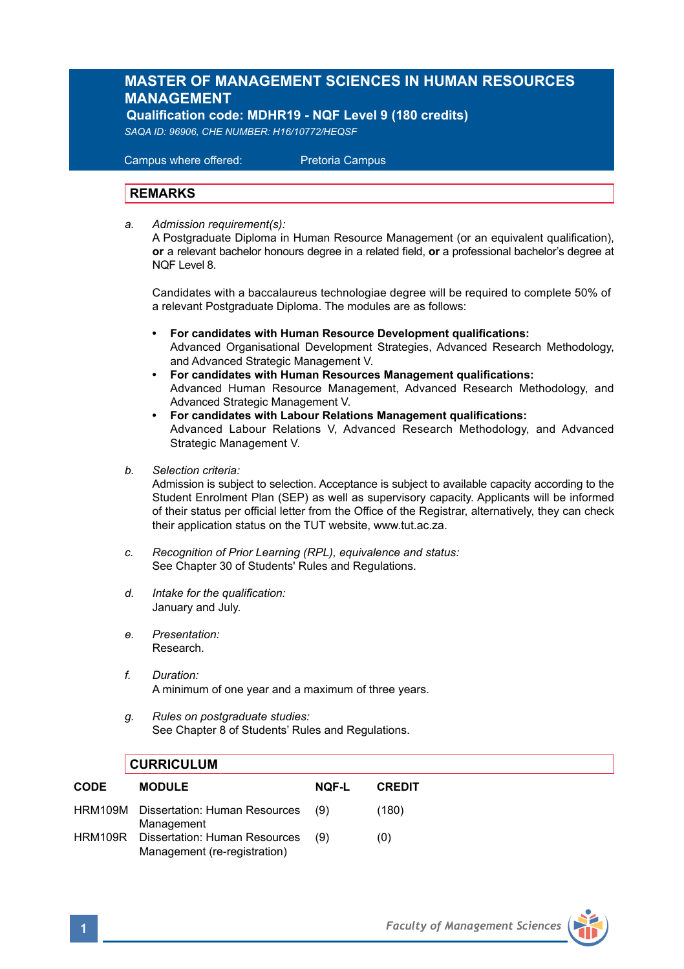## **MASTER OF MANAGEMENT SCIENCES IN HUMAN RESOURCES MANAGEMENT**

 **Qualification code: MDHR19 - NQF Level 9 (180 credits)** 

*SAQA ID: 96906, CHE NUMBER: H16/10772/HEQSF* 

 Campus where offered: Pretoria Campus

## **REMARKS**

*a. Admission requirement(s):* 

A Postgraduate Diploma in Human Resource Management (or an equivalent qualification), **or** a relevant bachelor honours degree in a related field, **or** a professional bachelor's degree at NQF Level 8.

 Candidates with a baccalaureus technologiae degree will be required to complete 50% of a relevant Postgraduate Diploma. The modules are as follows:

- **• For candidates with Human Resource Development qualifications:** Advanced Organisational Development Strategies, Advanced Research Methodology, and Advanced Strategic Management V.
- **• For candidates with Human Resources Management qualifications:** Advanced Human Resource Management, Advanced Research Methodology, and Advanced Strategic Management V.
- **• For candidates with Labour Relations Management qualifications:** Advanced Labour Relations V, Advanced Research Methodology, and Advanced Strategic Management V.
- *b. Selection criteria:*

Admission is subject to selection. Acceptance is subject to available capacity according to the Student Enrolment Plan (SEP) as well as supervisory capacity. Applicants will be informed of their status per official letter from the Office of the Registrar, alternatively, they can check their application status on the TUT website, www.tut.ac.za.

- *c. Recognition of Prior Learning (RPL), equivalence and status:* See Chapter 30 of Students' Rules and Regulations.
- *d. Intake for the qualification:* January and July.
- *e. Presentation:* Research.
- *f. Duration:*  A minimum of one year and a maximum of three years.
- *g. Rules on postgraduate studies:* See Chapter 8 of Students' Rules and Regulations.

## **CURRICULUM**

| <b>CODE</b> | <b>MODULE</b>                                                 | NOF-L | <b>CREDIT</b> |
|-------------|---------------------------------------------------------------|-------|---------------|
|             | HRM109M Dissertation: Human Resources<br>Management           | (9)   | (180)         |
| HRM109R     | Dissertation: Human Resources<br>Management (re-registration) | (9)   | (0)           |